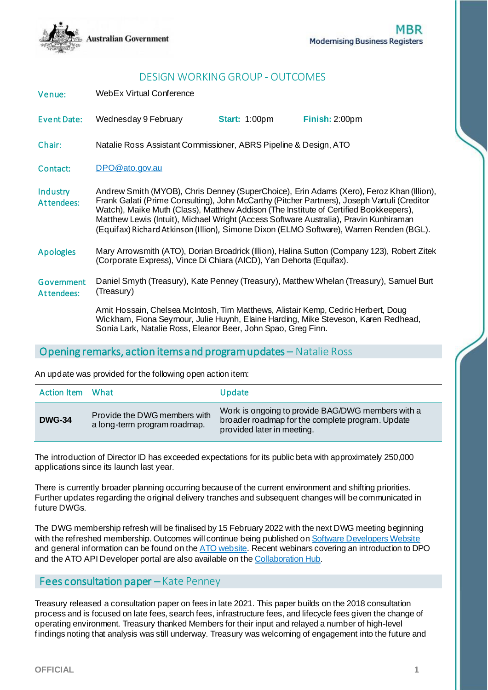

# DESIGN WORKING GROUP - OUTCOMES

| WebEx Virtual Conference<br>Venue: |
|------------------------------------|
|------------------------------------|

Event Date: Wednesday 9 February **Start:** 1:00pm **Finish:** 2:00pm

Chair: Natalie Ross Assistant Commissioner, ABRS Pipeline & Design, ATO

Contact: [DPO@ato.gov.au](mailto:DPO@ato.gov.au)

**Industry** Attendees: Andrew Smith (MYOB), Chris Denney (SuperChoice), Erin Adams (Xero), Feroz Khan (Illion), Frank Galati (Prime Consulting), John McCarthy (Pitcher Partners), Joseph Vartuli (Creditor Watch), Maike Muth (Class), Matthew Addison (The Institute of Certified Bookkeepers), Matthew Lewis (Intuit), Michael Wright (Access Software Australia), Pravin Kunhiraman (Equifax) Richard Atkinson (Illion), Simone Dixon (ELMO Software), Warren Renden (BGL).

Apologies Mary Arrowsmith (ATO), Dorian Broadrick (Illion), Halina Sutton (Company 123), Robert Zitek (Corporate Express), Vince Di Chiara (AICD), Yan Dehorta (Equifax).

Government Attendees: Daniel Smyth (Treasury), Kate Penney (Treasury), Matthew Whelan (Treasury), Samuel Burt (Treasury)

> Amit Hossain, Chelsea McIntosh, Tim Matthews, Alistair Kemp, Cedric Herbert, Doug Wickham, Fiona Seymour, Julie Huynh, Elaine Harding, Mike Steveson, Karen Redhead, Sonia Lark, Natalie Ross, Eleanor Beer, John Spao, Greg Finn.

### Opening remarks, action items and program updates – Natalie Ross

An update was provided for the following open action item:

| Action Item   | What                                                         | Update                                                                                                                              |
|---------------|--------------------------------------------------------------|-------------------------------------------------------------------------------------------------------------------------------------|
| <b>DWG-34</b> | Provide the DWG members with<br>a long-term program roadmap. | Work is ongoing to provide BAG/DWG members with a<br>broader roadmap for the complete program. Update<br>provided later in meeting. |

The introduction of Director ID has exceeded expectations for its public beta with approximately 250,000 applications since its launch last year.

There is currently broader planning occurring because of the current environment and shifting priorities. Further updates regarding the original delivery tranches and subsequent changes will be communicated in future DWGs.

The DWG membership refresh will be finalised by 15 February 2022 with the next DWG meeting beginning with the refreshed membership. Outcomes will continue being published o[n Software Developers Website](https://softwaredevelopers.ato.gov.au/modernisingbusinessregistersdwg) and general information can be found on th[e ATO website](http://www.ato.gov.au/). Recent webinars covering an introduction to DPO and the ATO API Developer portal are also available on th[e Collaboration Hub.](https://developer.sbr.gov.au/collaborate/)

### Fees consultation paper – Kate Penney

Treasury released a consultation paper on fees in late 2021. This paper builds on the 2018 consultation process and is focused on late fees, search fees, infrastructure fees, and lifecycle fees given the change of operating environment. Treasury thanked Members for their input and relayed a number of high-level findings noting that analysis was still underway. Treasury was welcoming of engagement into the future and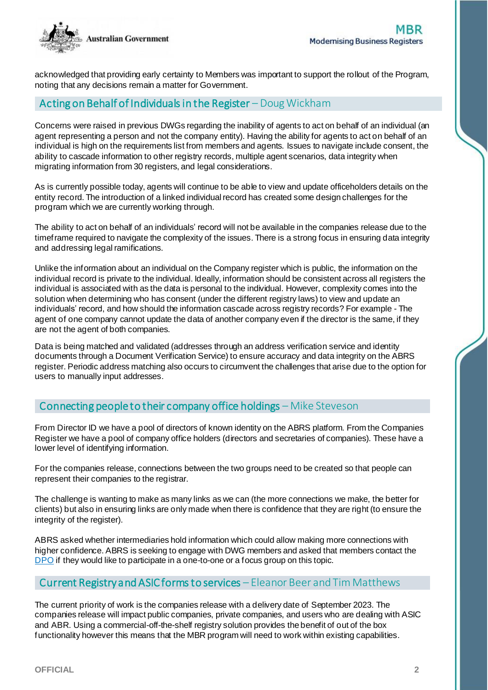

acknowledged that providing early certainty to Members was important to support the rollout of the Program, noting that any decisions remain a matter for Government.

## Acting on Behalf of Individuals in the Register – Doug Wickham

Concerns were raised in previous DWGs regarding the inability of agents to act on behalf of an individual (an agent representing a person and not the company entity). Having the ability for agents to act on behalf of an individual is high on the requirements list from members and agents. Issues to navigate include consent, the ability to cascade information to other registry records, multiple agent scenarios, data integrity when migrating information from 30 registers, and legal considerations.

As is currently possible today, agents will continue to be able to view and update officeholders details on the entity record. The introduction of a linked individual record has created some design challenges for the program which we are currently working through.

The ability to act on behalf of an individuals' record will not be available in the companies release due to the timeframe required to navigate the complexity of the issues. There is a strong focus in ensuring data integrity and addressing legal ramifications.

Unlike the information about an individual on the Company register which is public, the information on the individual record is private to the individual. Ideally, information should be consistent across all registers the individual is associated with as the data is personal to the individual. However, complexity comes into the solution when determining who has consent (under the different registry laws) to view and update an individuals' record, and how should the information cascade across registry records? For example - The agent of one company cannot update the data of another company even if the director is the same, if they are not the agent of both companies.

Data is being matched and validated (addresses through an address verification service and identity documents through a Document Verification Service) to ensure accuracy and data integrity on the ABRS register. Periodic address matching also occurs to circumvent the challenges that arise due to the option for users to manually input addresses.

# Connecting people to their company office holdings – Mike Steveson

From Director ID we have a pool of directors of known identity on the ABRS platform. From the Companies Register we have a pool of company office holders (directors and secretaries of companies). These have a lower level of identifying information.

For the companies release, connections between the two groups need to be created so that people can represent their companies to the registrar.

The challenge is wanting to make as many links as we can (the more connections we make, the better for clients) but also in ensuring links are only made when there is confidence that they are right (to ensure the integrity of the register).

ABRS asked whether intermediaries hold information which could allow making more connections with higher confidence. ABRS is seeking to engage with DWG members and asked that members contact the [DPO](mailto:DPO@ato.gov.au) if they would like to participate in a one-to-one or a focus group on this topic.

# Current Registry and ASIC forms to services – Eleanor Beer and Tim Matthews

The current priority of work is the companies release with a delivery date of September 2023. The companies release will impact public companies, private companies, and users who are dealing with ASIC and ABR. Using a commercial-off-the-shelf registry solution provides the benefit of out of the box functionality however this means that the MBR program will need to work within existing capabilities.